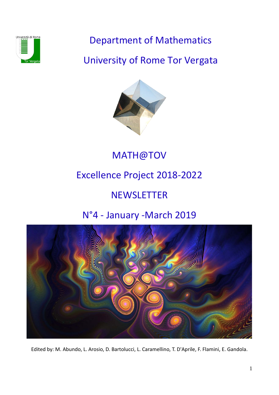

Department of Mathematics

University of Rome Tor Vergata



MATH@TOV

# Excellence Project 2018-2022

# **NEWSLETTER**

# N°4 - January -March 2019



Edited by: M. Abundo, L. Arosio, D. Bartolucci, L. Caramellino, T. D'Aprile, F. Flamini, E. Gandola.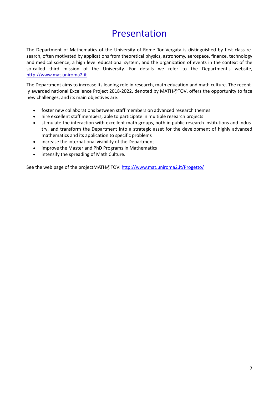## Presentation

The Department of Mathematics of the University of Rome Tor Vergata is distinguished by first class research, often motivated by applications from theoretical physics, astronomy, aerospace, finance, technology and medical science, a high level educational system, and the organization of events in the context of the so-called third mission of the University. For details we refer to the Department's website, [http://www.mat.uniroma2.it](http://www.mat.uniroma2.it/)

The Department aims to increase its leading role in research, math education and math culture. The recently awarded national Excellence Project 2018-2022, denoted by MATH@TOV, offers the opportunity to face new challenges, and its main objectives are:

- foster new collaborations between staff members on advanced research themes
- hire excellent staff members, able to participate in multiple research projects
- stimulate the interaction with excellent math groups, both in public research institutions and industry, and transform the Department into a strategic asset for the development of highly advanced mathematics and its application to specific problems
- increase the international visibility of the Department
- improve the Master and PhD Programs in Mathematics
- intensify the spreading of Math Culture.

See the web page of the projectMATH@TOV:<http://www.mat.uniroma2.it/Progetto/>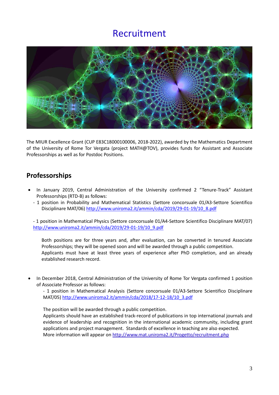## Recruitment



The MIUR Excellence Grant (CUP E83C18000100006, 2018-2022), awarded by the Mathematics Department of the University of Rome Tor Vergata (project MATH@TOV), provides funds for Assistant and Associate Professorships as well as for Postdoc Positions.

## **Professorships**

- In January 2019, Central Administration of the University confirmed 2 "Tenure-Track" Assistant Professorships (RTD-B) as follows:
	- 1 position in Probability and Mathematical Statistics (Settore concorsuale 01/A3-Settore Scientifico Disciplinare MAT/06) [http://www.uniroma2.it/ammin/cda/2019/29-01-19/10\\_8.pdf](http://www.uniroma2.it/ammin/cda/2019/29-01-19/10_8.pdf)

- 1 position in Mathematical Physics (Settore concorsuale 01/A4-Settore Scientifico Disciplinare MAT/07) [http://www.uniroma2.it/ammin/cda/2019/29-01-19/10\\_9.pdf](http://www.uniroma2.it/ammin/cda/2019/29-01-19/10_9.pdf) 

Both positions are for three years and, after evaluation, can be converted in tenured Associate Professorships; they will be opened soon and will be awarded through a public competition. Applicants must have at least three years of experience after PhD completion, and an already established research record.

• In December 2018, Central Administration of the University of Rome Tor Vergata confirmed 1 position of Associate Professor as follows:

- 1 position in Mathematical Analysis (Settore concorsuale 01/A3-Settore Scientifico Disciplinare MAT/05) [http://www.uniroma2.it/ammin/cda/2018/17-12-18/10\\_3.pdf](http://www.uniroma2.it/ammin/cda/2018/17-12-18/10_3.pdf)

The position will be awarded through a public competition.

Applicants should have an established track-record of publications in top international journals and evidence of leadership and recognition in the international academic community, including grant applications and project management. Standards of excellence in teaching are also expected. More information will appear on<http://www.mat.uniroma2.it/Progetto/recruitment.php>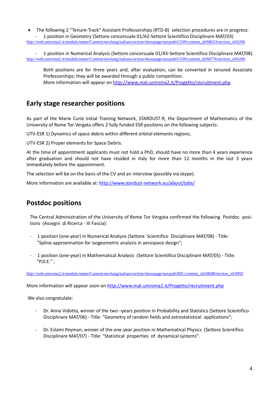• The following 2 "Tenure-Track" Assistant Professorships (RTD-B) selection procedures are in progress: 1 position in Geometry (Settore concorsuale 01/A2-Settore Scientifico Disciplinare MAT/03) [http://web.uniroma2.it/module/name/Content/newlang/italiano/action/showpage/navpath/CON/content\\_id/68633/section\\_id/6206](http://web.uniroma2.it/module/name/Content/newlang/italiano/action/showpage/navpath/CON/content_id/68633/section_id/6206)

1 position in Numerical Analysis (Settore concorsuale 01/A5-Settore Scientifico Disciplinare MAT/08). [http://web.uniroma2.it/module/name/Content/newlang/italiano/action/showpage/navpath/CON/content\\_id/68776/section\\_id/6206](http://web.uniroma2.it/module/name/Content/newlang/italiano/action/showpage/navpath/CON/content_id/68776/section_id/6206)

Both positions are for three years and, after evaluation, can be converted in tenured Associate Professorships; they will be awarded through a public competition. More information will appear on<http://www.mat.uniroma2.it/Progetto/recruitment.php>

## **Early stage researcher positions**

As part of the Marie Curie Initial Training Network, STARDUST-R, the Department of Mathematics of the University of Rome Tor Vergata offers 2 fully funded ESR positions on the following subjects:

UTV-ESR 1) Dynamics of space debris within different orbital elements regions;

UTV-ESR 2) Proper elements for Space Debris.

At the time of appointment applicants must not hold a PhD, should have no more than 4 years experience after graduation and should not have resided in Italy for more than 12 months in the last 3 years immediately before the appointment.

The selection will be on the basis of the CV and an interview (possibly via skype).

More information are available at[: http://www.stardust-network.eu/about/jobs/](http://www.stardust-network.eu/about/jobs/)

## **Postdoc positions**

The Central Administration of the University of Rome Tor Vergata confirmed the following Postdoc positions (Assegni di Ricerca - III Fascia):

- 1 position (one-year) in Numerical Analysis (Settore Scientifico Disciplinare MAT/08) Title: "Spline approximation for isogeometric analysis in aerospace design";
- 1 position (one-year) in Mathematical Analysis (Settore Scientifico Disciplinare MAT/05) Title: "P.D.E." ;

[http://web.uniroma2.it/module/name/Content/newlang/italiano/action/showpage/navpath/RIC/content\\_id/68688/section\\_id/4992](http://web.uniroma2.it/module/name/Content/newlang/italiano/action/showpage/navpath/RIC/content_id/68688/section_id/4992)

More information will appear soon on<http://www.mat.uniroma2.it/Progetto/recruitment.php>

We also congratulate:

- Dr. Anna Vidotto, winner of the two –years position in Probability and Statistics (Settore Scientifico Disciplinare MAT/06) - Title: "Geometry of random fields and astrostatistical applications";
- Dr. Eslami Peyman, winner of the one-year position in Mathematical Physics (Settore Scientifico Disciplinare MAT/07) - Title: "Statistical properties of dynamical systems".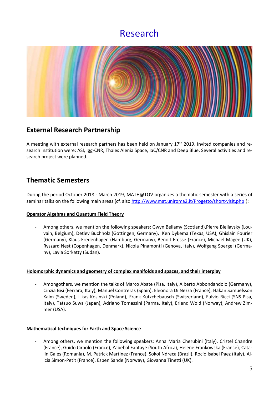## Research



### **External Research Partnership**

A meeting with external research partners has been held on January 17<sup>th</sup> 2019. Invited companies and research institution were: ASI, Igg-CNR, Thales Alenia Space, IaC/CNR and Deep Blue. Several activities and research project were planned.

## **Thematic Semesters**

During the period October 2018 - March 2019, MATH@TOV organizes a thematic semester with a series of seminar talks on the following main areas (cf. also<http://www.mat.uniroma2.it/Progetto/short-visit.php> ):

#### **Operator Algebras and Quantum Field Theory**

- Among others, we mention the following speakers: Gwyn Bellamy (Scotland),Pierre Bieliavsky (Louvain, Belgium), Detlev Buchholz (Gottingen, Germany), Ken Dykema (Texas, USA), Ghislain Fourier (Germany), Klaus Fredenhagen (Hamburg, Germany), Benoit Fresse (France), Michael Magee (UK), Ryszard Nest (Copenhagen, Denmark), Nicola Pinamonti (Genova, Italy), Wolfgang Soergel (Germany), Layla Sorkatty (Sudan).

#### **Holomorphic dynamics and geometry of complex manifolds and spaces, and their interplay**

- Amongothers, we mention the talks of Marco Abate (Pisa, Italy), Alberto Abbondandolo (Germany), Cinzia Bisi (Ferrara, Italy), Manuel Contreras (Spain), Eleonora Di Nezza (France), Hakan Samuelsson Kalm (Sweden), Likas Kosinski (Poland), Frank Kutzchebausch (Switzerland), Fulvio Ricci (SNS Pisa, Italy), Tatsuo Suwa (Japan), Adriano Tomassini (Parma, Italy), Erlend Wold (Norway), Andrew Zimmer (USA).

#### **Mathematical techniques for Earth and Space Science**

Among others, we mention the following speakers: Anna Maria Cherubini (Italy), Cristel Chandre (France), Guido Ciraolo (France), Yabebal Fantaye (South Africa), Helene Frankowska (France), Catalin Gales (Romania), M. Patrick Martinez (France), Sokol Ndreca (Brazil), Rocio Isabel Paez (Italy), Alicia Simon-Petit (France), Espen Sande (Norway), Giovanna Tinetti (UK).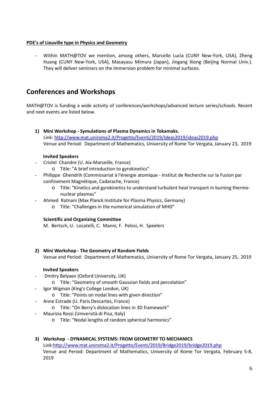#### **PDE's of Liouville type in Physics and Geometry**

Within MATH@TOV we mention, among others, Marcello Lucia (CUNY New-York, USA), Zheng Huang (CUNY New-York, USA), Masayasu Mimura (Japan), Jingang Xiong (Beijing Normal Univ.). They will deliver seminars on the immersion problem for minimal surfaces.

### **Conferences and Workshops**

MATH@TOV is funding a wide activity of conferences/workshops/advanced lecture series/schools. Recent and next events are listed below.

**1) Mini Workshop - Symulations of Plasma Dynamics in Tokamaks.** Link:<http://www.mat.uniroma2.it/Progetto/Eventi/2019/Ideas2019/ideas2019.php> Venue and Period: Department of Mathematics, University of Rome Tor Vergata, January 23, 2019

#### **Invited Speakers**

- Cristel Chandre (U. Aix-Marseille, France)
	- o Title: "A brief introduction to gyrokinetics"
- Philippe Ghendrih (Commissariat à l'énergie atomique Institut de Recherche sur la Fusion par confinement Magnétique, Cadarache, France)
	- o Title: "Kinetics and gyrokinetics to understand turbulent heat transport in burning thermonuclear plasmas"
- Ahmed Ratnani (Max Planck Institute for Plasma Physics, Germany)
	- o Title: "Challenges in the numerical simulation of MHD"

#### **Scientific and Organizing Committee**

M. Bertsch, U. Locatelli, C. Manni, F. Pelosi, H. Speelers

#### **2) Mini Workshop - The Geometry of Random Fields**

Venue and Period: Department of Mathematics, University of Rome Tor Vergata, January 25, 2019

#### **Invited Speakers**

- Dmitry Belyaev (Oxford University, UK)
	- o Title: "Geometry of smooth Gaussian fields and percolation"
- Igor Wigman (King's College London, UK)
	- o Title: "Points on nodal lines with given direction"
- Anne Estrade (U. Paris Descartes, France)
	- o Title: "On Berry's dislocation lines in 3D framework"
- Maurizia Rossi (Università di Pisa, Italy)
	- o Title: "Nodal lengths of random spherical harmonics"

#### **3) Workshop - DYNAMICAL SYSTEMS: FROM GEOMETRY TO MECHANICS**

Link[:http://www.mat.uniroma2.it/Progetto/Eventi/2019/Bridge2019/bridge2019.php](http://www.mat.uniroma2.it/Progetto/Eventi/2019/Bridge2019/bridge2019.php) Venue and Period: Department of Mathematics, University of Rome Tor Vergata, February 5-8, 2019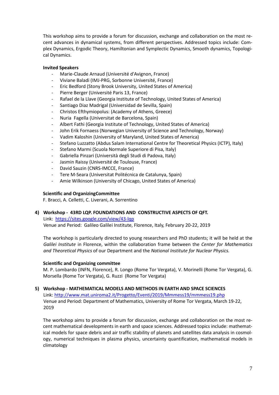This workshop aims to provide a forum for discussion, exchange and collaboration on the most recent advances in dynamical systems, from different perspectives. Addressed topics include: Complex Dynamics, Ergodic Theory, Hamiltonian and Symplectic Dynamics, Smooth dynamics, Topological Dynamics.

#### **Invited Speakers**

- Marie-Claude Arnaud (Université d'Avignon, France)
- Viviane Baladi (IMJ-PRG, Sorbonne Université, France)
- Eric Bedford (Stony Brook University, United States of America)
- Pierre Berger (Université Paris 13, France)
- Rafael de la Llave (Georgia Institute of Technology, United States of America)
- Santiago Diaz Madrigal (Universidad de Sevilla, Spain)
- Christos Efthymiopolus: (Academy of Athens, Greece)
- Nuria Fagella (Universitat de Barcelona, Spain)
- Albert Fathi (Georgia Institute of Technology, United States of America)
- John Erik Fornaess (Norwegian University of Science and Technology, Norway)
- Vadim Kaloshin (University of Maryland, United States of America)
- Stefano Luzzatto (Abdus Salam International Centre for Theoretical Physics (ICTP), Italy)
- Stefano Marmi (Scuola Normale Superiore di Pisa, Italy)
- Gabriella Pinzari (Università degli Studi di Padova, Italy)
- Jasmin Raissy (Université de Toulouse, France)
- David Sauzin (CNRS-IMCCE, France)
- Tere M-Seara (Universitat Politécnica de Catalunya, Spain)
- Amie Wilkinson (University of Chicago, United States of America)

#### **Scientific and OrganizingCommittee**

F. Bracci, A. Celletti, C. Liverani, A. Sorrentino

#### **4) Workshop - 43RD LQP. FOUNDATIONS AND CONSTRUCTIVE ASPECTS OF QFT.**

Link: <https://sites.google.com/view/43-lqp> Venue and Period: Galileo Galilei Institute, Florence, Italy, February 20-22, 2019

The workshop is particularly directed to young researchers and PhD students; it will be held at the *Galilei Institute* in Florence, within the collaboration frame between the *Center for Mathematics and Theoretical Physics* of our Department and the *National Institute for Nuclear Physics.* 

#### **Scientific and Organizing committee**

M. P. Lombardo (INFN, Florence), R. Longo (Rome Tor Vergata), V. Morinelli (Rome Tor Vergata), G. Morsella (Rome Tor Vergata), G. Ruzzi (Rome Tor Vergata)

#### **5) Workshop - MATHEMATICAL MODELS AND METHODS IN EARTH AND SPACE SCIENCES**

Link:<http://www.mat.uniroma2.it/Progetto/Eventi/2019/Mmmess19/mmmess19.php> Venue and Period: Department of Mathematics, University of Rome Tor Vergata, March 19-22, 2019

The workshop aims to provide a forum for discussion, exchange and collaboration on the most recent mathematical developments in earth and space sciences. Addressed topics include: mathematical models for space debris and air traffic stability of planets and satellites data analysis in cosmology, numerical techniques in plasma physics, uncertainty quantification, mathematical models in climatology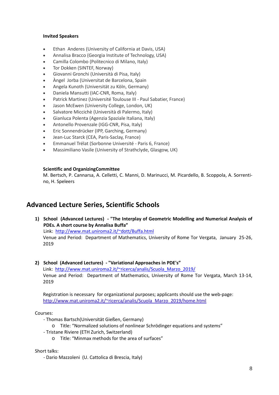#### **Invited Speakers**

- Ethan Anderes (University of California at Davis, USA)
- Annalisa Bracco (Georgia Institute of Technology, USA)
- Camilla Colombo (Politecnico di Milano, Italy)
- Tor Dokken (SINTEF, Norway)
- Giovanni Gronchi (Università di Pisa, Italy)
- Àngel Jorba (Universitat de Barcelona, Spain
- Angela Kunoth (Universität zu Köln, Germany)
- Daniela Mansutti (IAC-CNR, Roma, Italy)
- Patrick Martinez (Université Toulouse III Paul Sabatier, France)
- Jason McEwen (University College, London, UK)
- Salvatore Miccichè (Università di Palermo, Italy)
- Gianluca Polenta (Agenzia Spaziale Italiana, Italy)
- Antonello Provenzale (IGG-CNR, Pisa, Italy)
- Eric Sonnendrücker (IPP, Garching, Germany)
- Jean-Luc Starck (CEA, Paris-Saclay, France)
- Emmanuel Trélat (Sorbonne Université Paris 6, France)
- Massimiliano Vasile (University of Strathclyde, Glasgow, UK)

#### **Scientific and OrganizingCommittee**

M. Bertsch, P. Cannarsa, A. Celletti, C. Manni, D. Marinucci, M. Picardello, B. Scoppola, A. Sorrentino, H. Speleers

### **Advanced Lecture Series, Scientific Schools**

- **1) School (Advanced Lectures) - "The Interplay of Geometric Modelling and Numerical Analysis of PDEs. A short course by Annalisa Buffa"** Link: [http://www.mat.uniroma2.it/~dott/Buffa.html](http://www.mat.uniroma2.it/%7Edott/Buffa.html) Venue and Period: Department of Mathematics, University of Rome Tor Vergata, January 25-26, 2019
- **2) School (Advanced Lectures) - "Variational Approaches in PDE's"** Link: http://www.mat.uniroma2.it/~ricerca/analis/Scuola\_Marzo\_2019/ Venue and Period: Department of Mathematics, University of Rome Tor Vergata, March 13-14, 2019

Registration is necessary for organizational purposes; applicants should use the web-page: [http://www.mat.uniroma2.it/~ricerca/analis/Scuola\\_Marzo\\_2019/home.html](http://www.mat.uniroma2.it/%7Ericerca/analis/Scuola_Marzo_2019/home.html)

#### Courses:

- Thomas Bartsch(Universität Gießen, Germany)
	- o Title: "Normalized solutions of nonlinear Schrödinger equations and systems"
- Tristane Riviere (ETH Zurich, Switzerland)
	- o Title: "Minmax methods for the area of surfaces"

#### Short talks:

- Dario Mazzoleni (U. Cattolica di Brescia, Italy)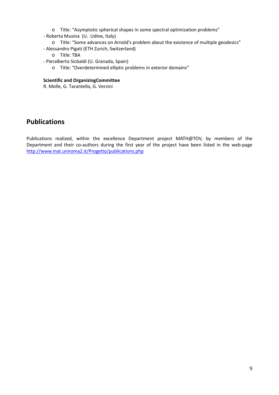- o Title: "Asymptotic spherical shapes in some spectral optimization problems"
- Roberta Musina (U. Udine, Italy)
	- o Title: "Some advances on Arnold's problem about the existence of multiple geodesics"
- Alessandro Pigati (ETH Zurich, Switzerland)
	- o Title: TBA
- Pieralberto Sicbaldi (U. Granada, Spain)
	- o Title: "Overdetermined elliptic problems in exterior domains"

#### **Scientific and OrganizingCommittee**

R. Molle, G. Tarantello, G. Verzini

## **Publications**

Publications realized, within the excellence Department project MATH@TOV, by members of the Department and their co-authors during the first year of the project have been listed in the web-page <http://www.mat.uniroma2.it/Progetto/publications.php>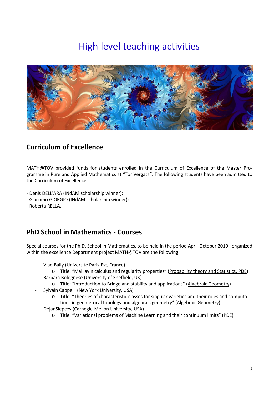# High level teaching activities



## **Curriculum of Excellence**

MATH@TOV provided funds for students enrolled in the Curriculum of Excellence of the Master Programme in Pure and Applied Mathematics at "Tor Vergata". The following students have been admitted to the Curriculum of Excellence:

- Denis DELL'ARA (INdAM scholarship winner);
- Giacomo GIORGIO (INdAM scholarship winner);
- Roberta RELLA.

## **PhD School in Mathematics - Courses**

Special courses for the Ph.D. School in Mathematics, to be held in the period April-October 2019, organized within the excellence Department project MATH@TOV are the following:

- Vlad Bally (Université Paris-Est, France)
	- o Title: "Malliavin calculus and regularity properties" (Probability theory and Statistics, PDE)
	- Barbara Bolognese (University of Sheffield, UK)
		- o Title: "Introduction to Bridgeland stability and applications" (Algebraic Geometry)
- Sylvain Cappell (New York University, USA)
	- o Title: "Theories of characteristic classes for singular varieties and their roles and computations in geometrical topology and algebraic geometry" (Algebraic Geometry)
- DejanSlepcev (Carnegie-Mellon University, USA)
	- o Title: "Variational problems of Machine Learning and their continuum limits" (PDE)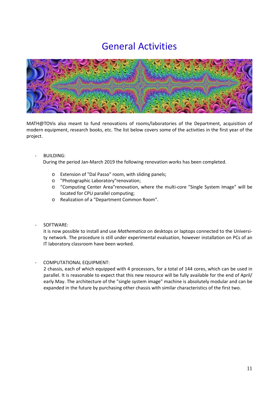## General Activities



MATH@TOVis also meant to fund renovations of rooms/laboratories of the Department, acquisition of modern equipment, research books, etc. The list below covers some of the activities in the first year of the project.

- BUILDING:

During the period Jan-March 2019 the following renovation works has been completed.

- o Extension of "Dal Passo" room, with sliding panels;
- o "Photographic Laboratory"renovation;
- o "Computing Center Area"renovation, where the multi-core "Single System Image" will be located for CPU parallel computing;
- o Realization of a "Department Common Room".
- SOFTWARE:

it is now possible to install and use *Mathematica* on desktops or laptops connected to the University network. The procedure is still under experimental evaluation, however installation on PCs of an IT laboratory classroom have been worked.

COMPUTATIONAL EQUIPMENT:

2 chassis, each of which equipped with 4 processors, for a total of 144 cores, which can be used in parallel. It is reasonable to expect that this new resource will be fully available for the end of April/ early May. The architecture of the "single system image" machine is absolutely modular and can be expanded in the future by purchasing other chassis with similar characteristics of the first two.